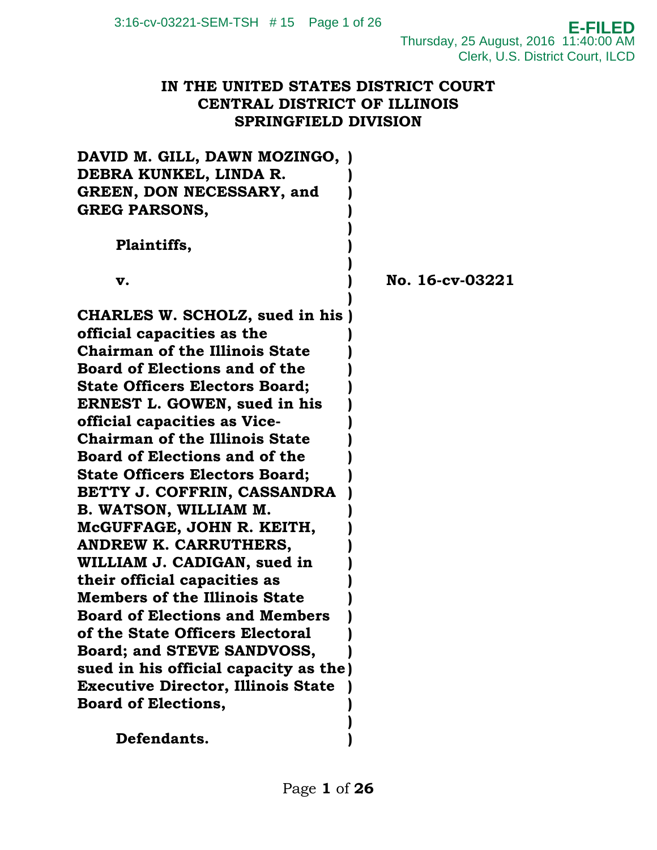### **IN THE UNITED STATES DISTRICT COURT CENTRAL DISTRICT OF ILLINOIS SPRINGFIELD DIVISION**

| DAVID M. GILL, DAWN MOZINGO, )            |                 |
|-------------------------------------------|-----------------|
| DEBRA KUNKEL, LINDA R.                    |                 |
| GREEN, DON NECESSARY, and                 |                 |
| <b>GREG PARSONS,</b>                      |                 |
|                                           |                 |
| Plaintiffs,                               |                 |
|                                           |                 |
| v.                                        | No. 16-cv-03221 |
|                                           |                 |
| CHARLES W. SCHOLZ, sued in his            |                 |
| official capacities as the                |                 |
| <b>Chairman of the Illinois State</b>     |                 |
| <b>Board of Elections and of the</b>      |                 |
| <b>State Officers Electors Board;</b>     |                 |
| <b>ERNEST L. GOWEN, sued in his</b>       |                 |
| official capacities as Vice-              |                 |
| <b>Chairman of the Illinois State</b>     |                 |
| <b>Board of Elections and of the</b>      |                 |
| <b>State Officers Electors Board;</b>     |                 |
| BETTY J. COFFRIN, CASSANDRA               |                 |
| <b>B. WATSON, WILLIAM M.</b>              |                 |
| McGUFFAGE, JOHN R. KEITH,                 |                 |
| ANDREW K. CARRUTHERS,                     |                 |
| WILLIAM J. CADIGAN, sued in               |                 |
| their official capacities as              |                 |
| <b>Members of the Illinois State</b>      |                 |
| <b>Board of Elections and Members</b>     |                 |
| of the State Officers Electoral           |                 |
| Board; and STEVE SANDVOSS,                |                 |
| sued in his official capacity as the)     |                 |
| <b>Executive Director, Illinois State</b> |                 |
| <b>Board of Elections,</b>                |                 |
|                                           |                 |

**Defendants. )**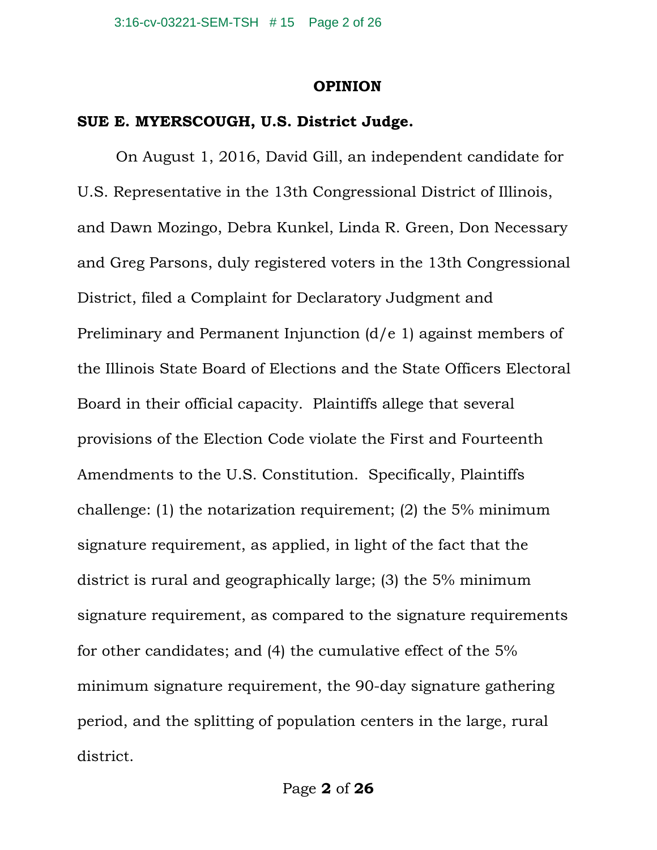#### **OPINION**

#### **SUE E. MYERSCOUGH, U.S. District Judge.**

 On August 1, 2016, David Gill, an independent candidate for U.S. Representative in the 13th Congressional District of Illinois, and Dawn Mozingo, Debra Kunkel, Linda R. Green, Don Necessary and Greg Parsons, duly registered voters in the 13th Congressional District, filed a Complaint for Declaratory Judgment and Preliminary and Permanent Injunction (d/e 1) against members of the Illinois State Board of Elections and the State Officers Electoral Board in their official capacity. Plaintiffs allege that several provisions of the Election Code violate the First and Fourteenth Amendments to the U.S. Constitution. Specifically, Plaintiffs challenge: (1) the notarization requirement; (2) the 5% minimum signature requirement, as applied, in light of the fact that the district is rural and geographically large; (3) the 5% minimum signature requirement, as compared to the signature requirements for other candidates; and (4) the cumulative effect of the 5% minimum signature requirement, the 90-day signature gathering period, and the splitting of population centers in the large, rural district.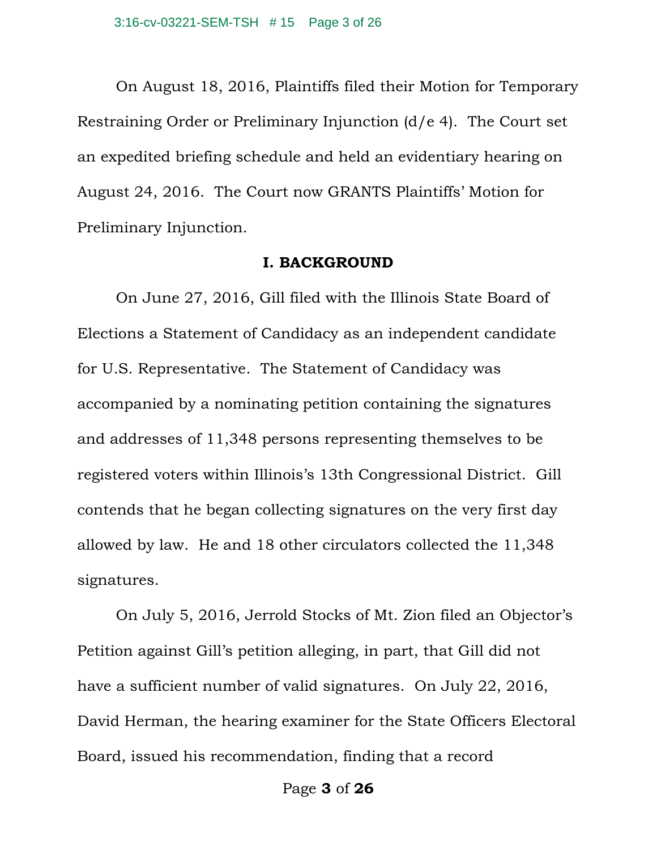On August 18, 2016, Plaintiffs filed their Motion for Temporary Restraining Order or Preliminary Injunction (d/e 4). The Court set an expedited briefing schedule and held an evidentiary hearing on August 24, 2016. The Court now GRANTS Plaintiffs' Motion for Preliminary Injunction.

#### **I. BACKGROUND**

 On June 27, 2016, Gill filed with the Illinois State Board of Elections a Statement of Candidacy as an independent candidate for U.S. Representative. The Statement of Candidacy was accompanied by a nominating petition containing the signatures and addresses of 11,348 persons representing themselves to be registered voters within Illinois's 13th Congressional District. Gill contends that he began collecting signatures on the very first day allowed by law. He and 18 other circulators collected the 11,348 signatures.

 On July 5, 2016, Jerrold Stocks of Mt. Zion filed an Objector's Petition against Gill's petition alleging, in part, that Gill did not have a sufficient number of valid signatures. On July 22, 2016, David Herman, the hearing examiner for the State Officers Electoral Board, issued his recommendation, finding that a record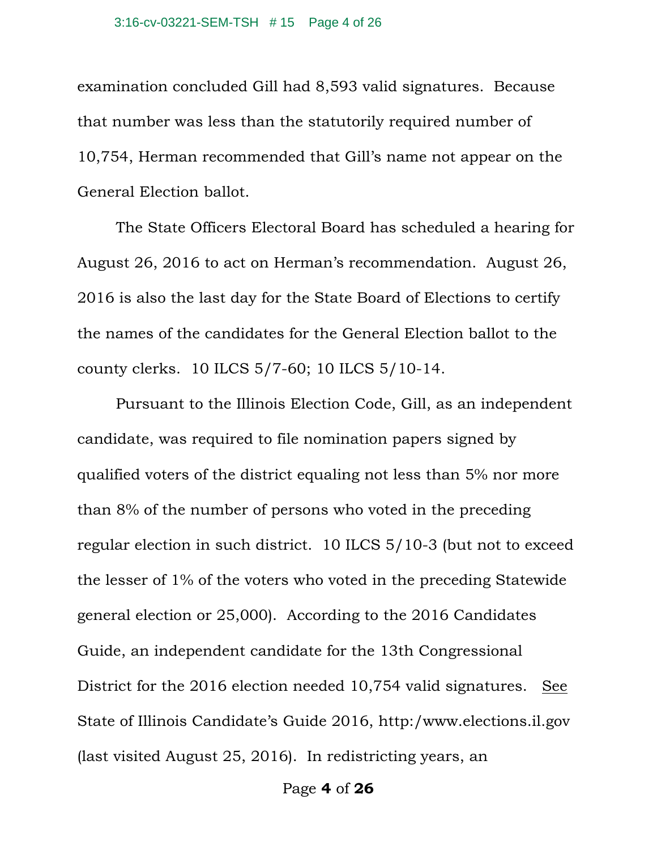examination concluded Gill had 8,593 valid signatures. Because that number was less than the statutorily required number of 10,754, Herman recommended that Gill's name not appear on the General Election ballot.

 The State Officers Electoral Board has scheduled a hearing for August 26, 2016 to act on Herman's recommendation. August 26, 2016 is also the last day for the State Board of Elections to certify the names of the candidates for the General Election ballot to the county clerks. 10 ILCS 5/7-60; 10 ILCS 5/10-14.

 Pursuant to the Illinois Election Code, Gill, as an independent candidate, was required to file nomination papers signed by qualified voters of the district equaling not less than 5% nor more than 8% of the number of persons who voted in the preceding regular election in such district. 10 ILCS 5/10-3 (but not to exceed the lesser of 1% of the voters who voted in the preceding Statewide general election or 25,000). According to the 2016 Candidates Guide, an independent candidate for the 13th Congressional District for the 2016 election needed 10,754 valid signatures. See State of Illinois Candidate's Guide 2016, http:/www.elections.il.gov (last visited August 25, 2016). In redistricting years, an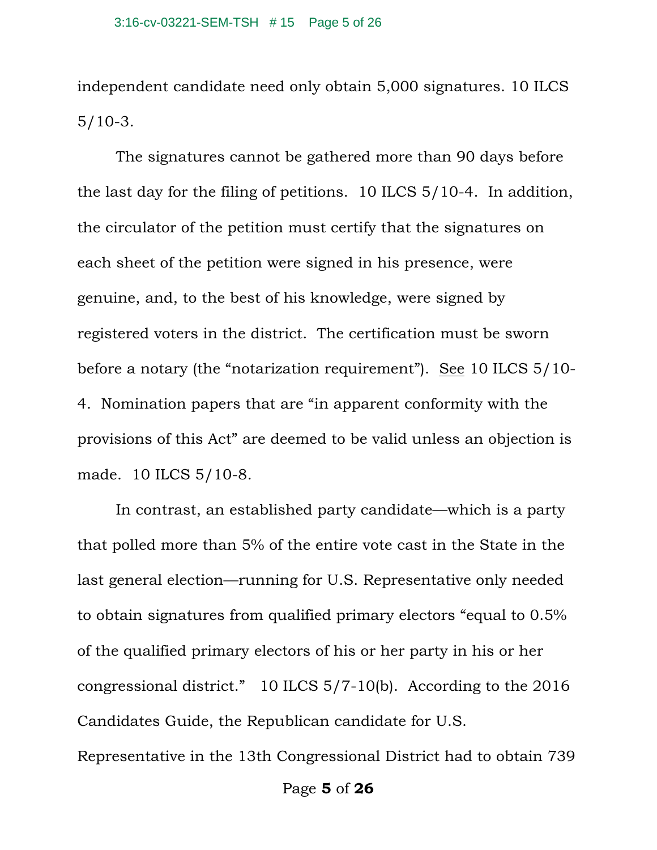independent candidate need only obtain 5,000 signatures. 10 ILCS 5/10-3.

 The signatures cannot be gathered more than 90 days before the last day for the filing of petitions. 10 ILCS 5/10-4. In addition, the circulator of the petition must certify that the signatures on each sheet of the petition were signed in his presence, were genuine, and, to the best of his knowledge, were signed by registered voters in the district. The certification must be sworn before a notary (the "notarization requirement"). See 10 ILCS 5/10- 4. Nomination papers that are "in apparent conformity with the provisions of this Act" are deemed to be valid unless an objection is made. 10 ILCS 5/10-8.

 In contrast, an established party candidate—which is a party that polled more than 5% of the entire vote cast in the State in the last general election—running for U.S. Representative only needed to obtain signatures from qualified primary electors "equal to 0.5% of the qualified primary electors of his or her party in his or her congressional district." 10 ILCS 5/7-10(b). According to the 2016 Candidates Guide, the Republican candidate for U.S.

Representative in the 13th Congressional District had to obtain 739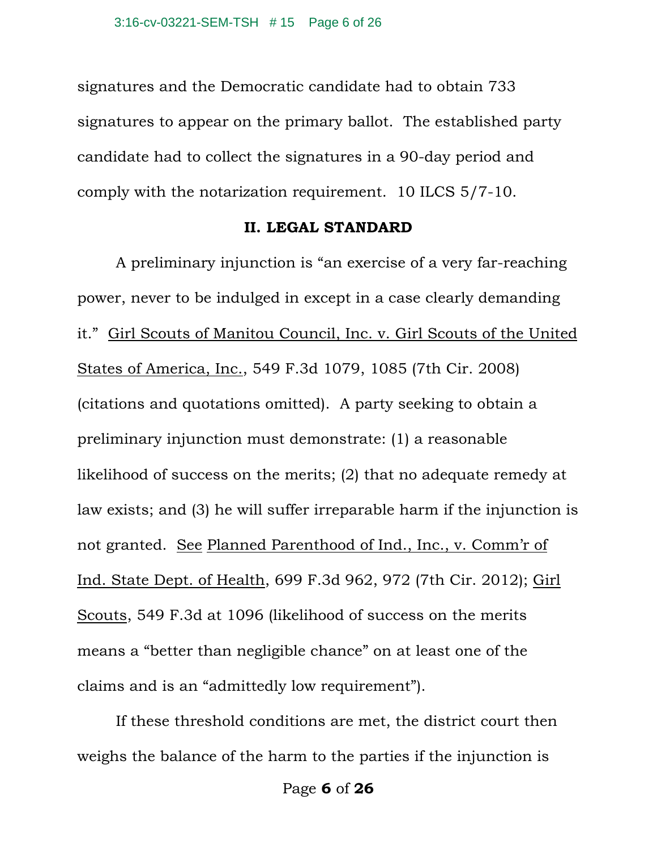signatures and the Democratic candidate had to obtain 733 signatures to appear on the primary ballot. The established party candidate had to collect the signatures in a 90-day period and comply with the notarization requirement. 10 ILCS 5/7-10.

### **II. LEGAL STANDARD**

 A preliminary injunction is "an exercise of a very far-reaching power, never to be indulged in except in a case clearly demanding it." Girl Scouts of Manitou Council, Inc. v. Girl Scouts of the United States of America, Inc., 549 F.3d 1079, 1085 (7th Cir. 2008) (citations and quotations omitted). A party seeking to obtain a preliminary injunction must demonstrate: (1) a reasonable likelihood of success on the merits; (2) that no adequate remedy at law exists; and (3) he will suffer irreparable harm if the injunction is not granted. See Planned Parenthood of Ind., Inc., v. Comm'r of Ind. State Dept. of Health, 699 F.3d 962, 972 (7th Cir. 2012); Girl Scouts, 549 F.3d at 1096 (likelihood of success on the merits means a "better than negligible chance" on at least one of the claims and is an "admittedly low requirement").

 If these threshold conditions are met, the district court then weighs the balance of the harm to the parties if the injunction is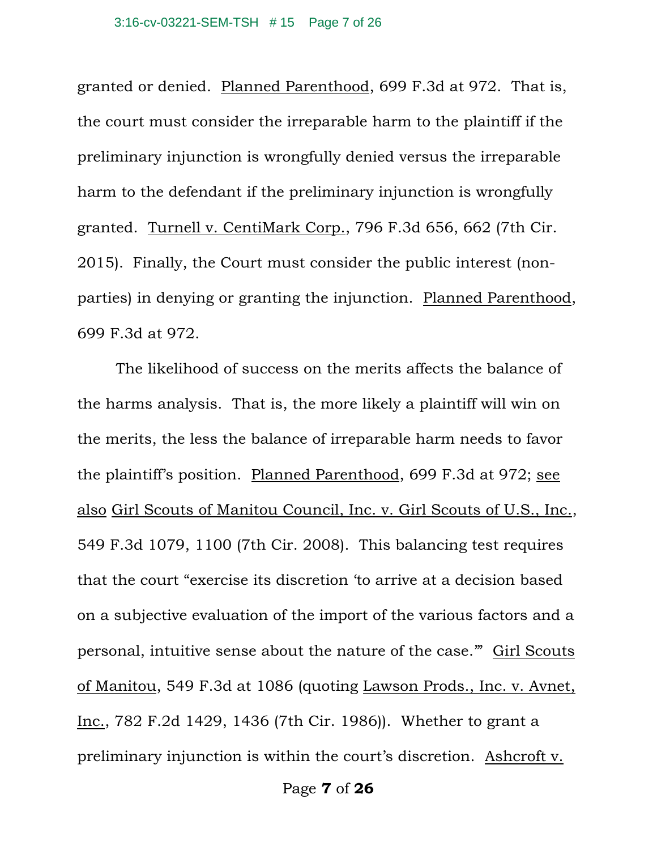granted or denied. Planned Parenthood, 699 F.3d at 972. That is, the court must consider the irreparable harm to the plaintiff if the preliminary injunction is wrongfully denied versus the irreparable harm to the defendant if the preliminary injunction is wrongfully granted. Turnell v. CentiMark Corp., 796 F.3d 656, 662 (7th Cir. 2015).Finally, the Court must consider the public interest (nonparties) in denying or granting the injunction. Planned Parenthood, 699 F.3d at 972.

 The likelihood of success on the merits affects the balance of the harms analysis. That is, the more likely a plaintiff will win on the merits, the less the balance of irreparable harm needs to favor the plaintiff's position. Planned Parenthood, 699 F.3d at 972; see also Girl Scouts of Manitou Council, Inc. v. Girl Scouts of U.S., Inc., 549 F.3d 1079, 1100 (7th Cir. 2008). This balancing test requires that the court "exercise its discretion 'to arrive at a decision based on a subjective evaluation of the import of the various factors and a personal, intuitive sense about the nature of the case.'" Girl Scouts of Manitou, 549 F.3d at 1086 (quoting Lawson Prods., Inc. v. Avnet, Inc., 782 F.2d 1429, 1436 (7th Cir. 1986)). Whether to grant a preliminary injunction is within the court's discretion. Ashcroft v.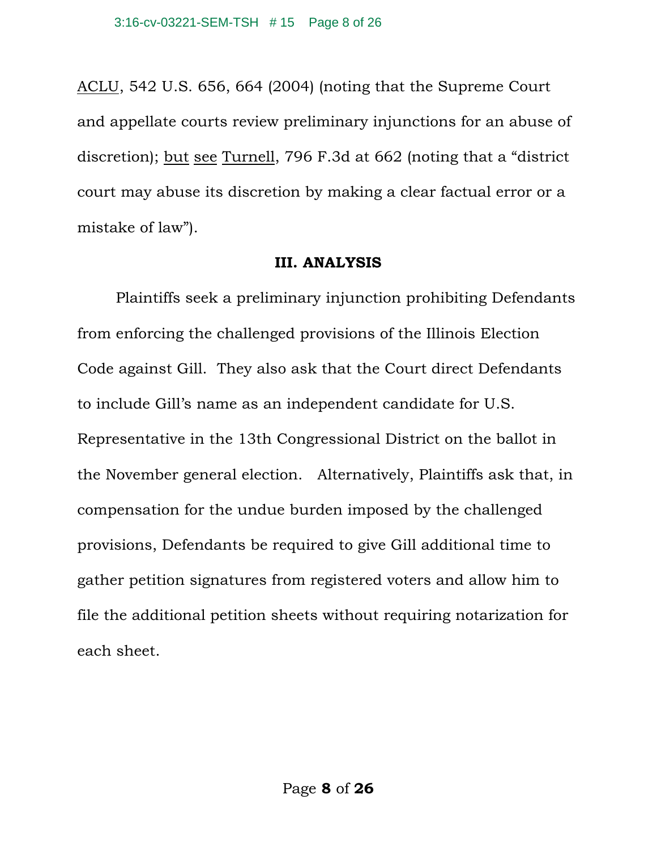ACLU, 542 U.S. 656, 664 (2004) (noting that the Supreme Court and appellate courts review preliminary injunctions for an abuse of discretion); but see Turnell, 796 F.3d at 662 (noting that a "district court may abuse its discretion by making a clear factual error or a mistake of law").

## **III. ANALYSIS**

 Plaintiffs seek a preliminary injunction prohibiting Defendants from enforcing the challenged provisions of the Illinois Election Code against Gill. They also ask that the Court direct Defendants to include Gill's name as an independent candidate for U.S. Representative in the 13th Congressional District on the ballot in the November general election. Alternatively, Plaintiffs ask that, in compensation for the undue burden imposed by the challenged provisions, Defendants be required to give Gill additional time to gather petition signatures from registered voters and allow him to file the additional petition sheets without requiring notarization for each sheet.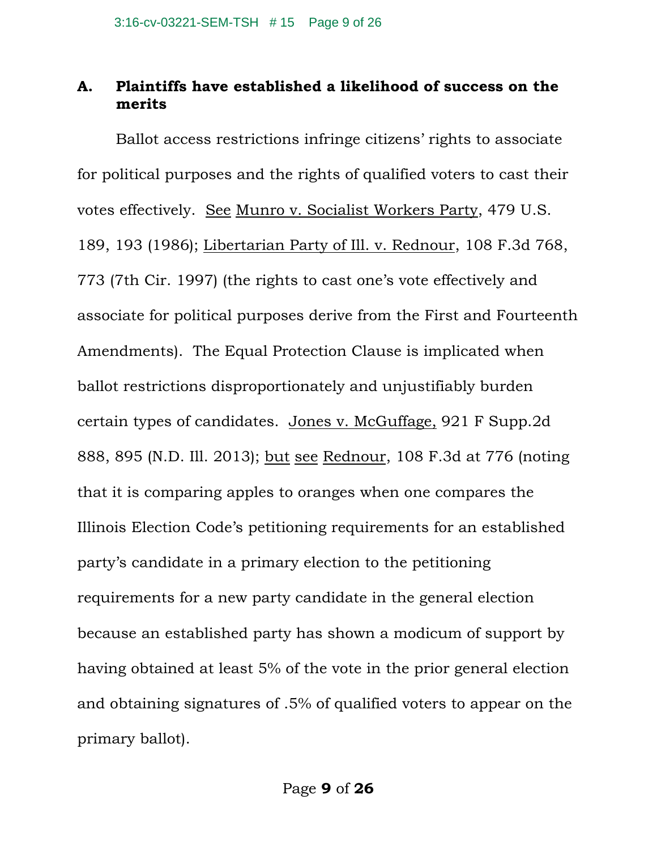# **A. Plaintiffs have established a likelihood of success on the merits**

Ballot access restrictions infringe citizens' rights to associate for political purposes and the rights of qualified voters to cast their votes effectively. See Munro v. Socialist Workers Party, 479 U.S. 189, 193 (1986); Libertarian Party of Ill. v. Rednour, 108 F.3d 768, 773 (7th Cir. 1997) (the rights to cast one's vote effectively and associate for political purposes derive from the First and Fourteenth Amendments). The Equal Protection Clause is implicated when ballot restrictions disproportionately and unjustifiably burden certain types of candidates. Jones v. McGuffage, 921 F Supp.2d 888, 895 (N.D. Ill. 2013); but see Rednour, 108 F.3d at 776 (noting that it is comparing apples to oranges when one compares the Illinois Election Code's petitioning requirements for an established party's candidate in a primary election to the petitioning requirements for a new party candidate in the general election because an established party has shown a modicum of support by having obtained at least 5% of the vote in the prior general election and obtaining signatures of .5% of qualified voters to appear on the primary ballot).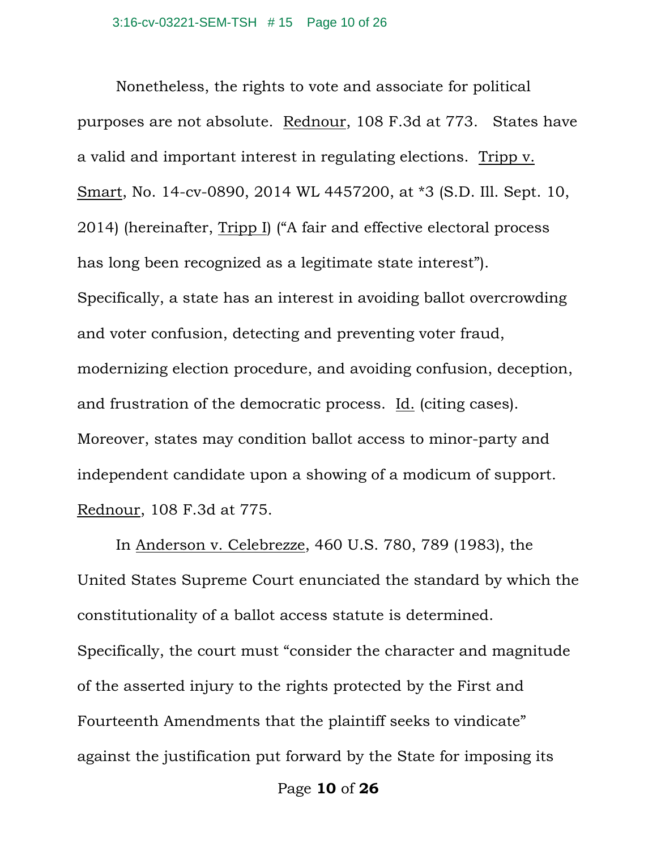Nonetheless, the rights to vote and associate for political purposes are not absolute. Rednour, 108 F.3d at 773. States have a valid and important interest in regulating elections. Tripp v. Smart, No. 14-cv-0890, 2014 WL 4457200, at \*3 (S.D. Ill. Sept. 10, 2014) (hereinafter, Tripp I) ("A fair and effective electoral process has long been recognized as a legitimate state interest"). Specifically, a state has an interest in avoiding ballot overcrowding and voter confusion, detecting and preventing voter fraud, modernizing election procedure, and avoiding confusion, deception, and frustration of the democratic process. Id. (citing cases). Moreover, states may condition ballot access to minor-party and independent candidate upon a showing of a modicum of support. Rednour, 108 F.3d at 775.

 In Anderson v. Celebrezze, 460 U.S. 780, 789 (1983), the United States Supreme Court enunciated the standard by which the constitutionality of a ballot access statute is determined. Specifically, the court must "consider the character and magnitude of the asserted injury to the rights protected by the First and Fourteenth Amendments that the plaintiff seeks to vindicate" against the justification put forward by the State for imposing its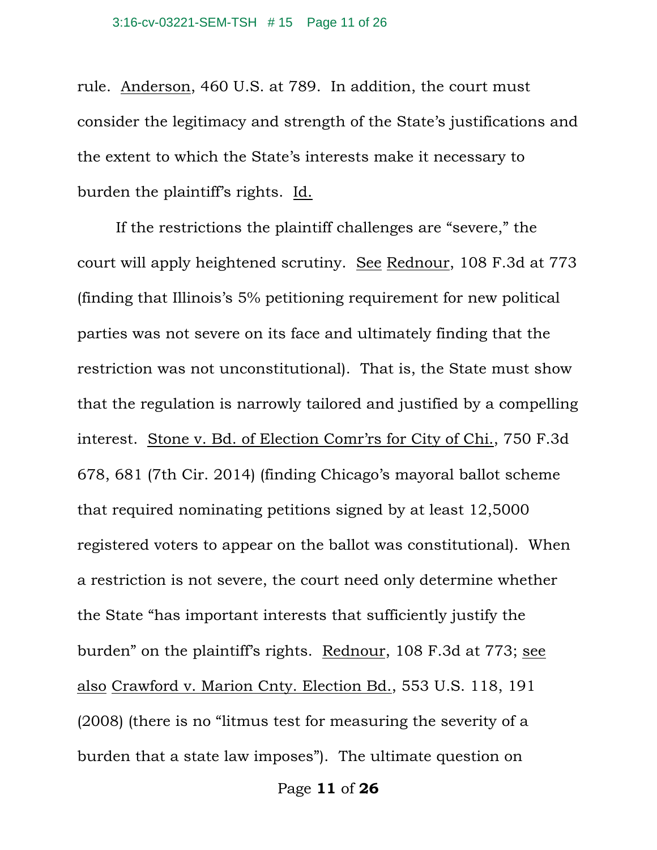rule. Anderson, 460 U.S. at 789. In addition, the court must consider the legitimacy and strength of the State's justifications and the extent to which the State's interests make it necessary to burden the plaintiff's rights. Id.

 If the restrictions the plaintiff challenges are "severe," the court will apply heightened scrutiny. See Rednour, 108 F.3d at 773 (finding that Illinois's 5% petitioning requirement for new political parties was not severe on its face and ultimately finding that the restriction was not unconstitutional). That is, the State must show that the regulation is narrowly tailored and justified by a compelling interest. Stone v. Bd. of Election Comr'rs for City of Chi., 750 F.3d 678, 681 (7th Cir. 2014) (finding Chicago's mayoral ballot scheme that required nominating petitions signed by at least 12,5000 registered voters to appear on the ballot was constitutional). When a restriction is not severe, the court need only determine whether the State "has important interests that sufficiently justify the burden" on the plaintiff's rights. Rednour, 108 F.3d at 773; see also Crawford v. Marion Cnty. Election Bd., 553 U.S. 118, 191 (2008) (there is no "litmus test for measuring the severity of a burden that a state law imposes"). The ultimate question on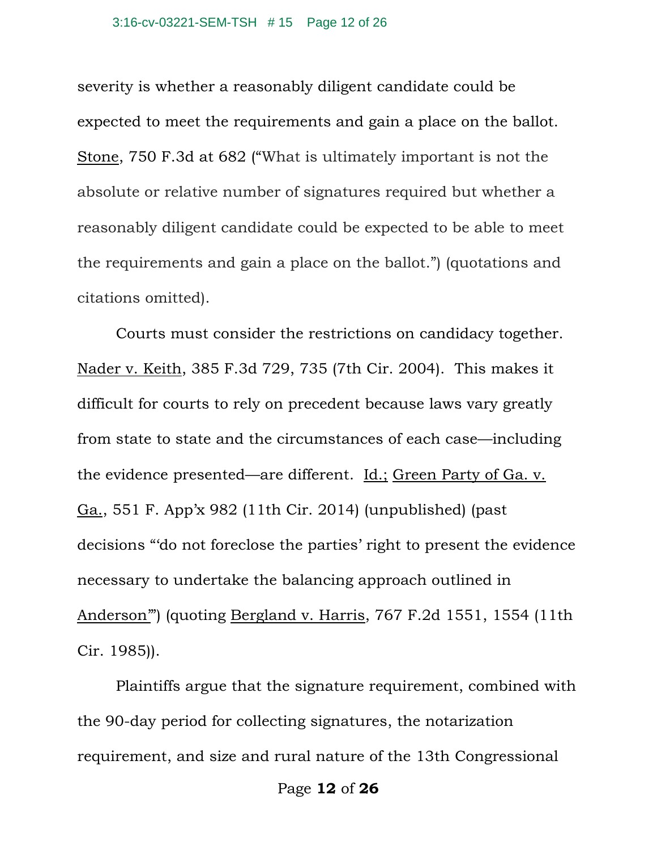severity is whether a reasonably diligent candidate could be expected to meet the requirements and gain a place on the ballot. Stone, 750 F.3d at 682 ("What is ultimately important is not the absolute or relative number of signatures required but whether a reasonably diligent candidate could be expected to be able to meet the requirements and gain a place on the ballot.") (quotations and citations omitted).

 Courts must consider the restrictions on candidacy together. Nader v. Keith, 385 F.3d 729, 735 (7th Cir. 2004). This makes it difficult for courts to rely on precedent because laws vary greatly from state to state and the circumstances of each case—including the evidence presented—are different. Id.; Green Party of Ga. v. Ga., 551 F. App'x 982 (11th Cir. 2014) (unpublished) (past decisions "'do not foreclose the parties' right to present the evidence necessary to undertake the balancing approach outlined in Anderson'") (quoting Bergland v. Harris, 767 F.2d 1551, 1554 (11th Cir. 1985)).

 Plaintiffs argue that the signature requirement, combined with the 90-day period for collecting signatures, the notarization requirement, and size and rural nature of the 13th Congressional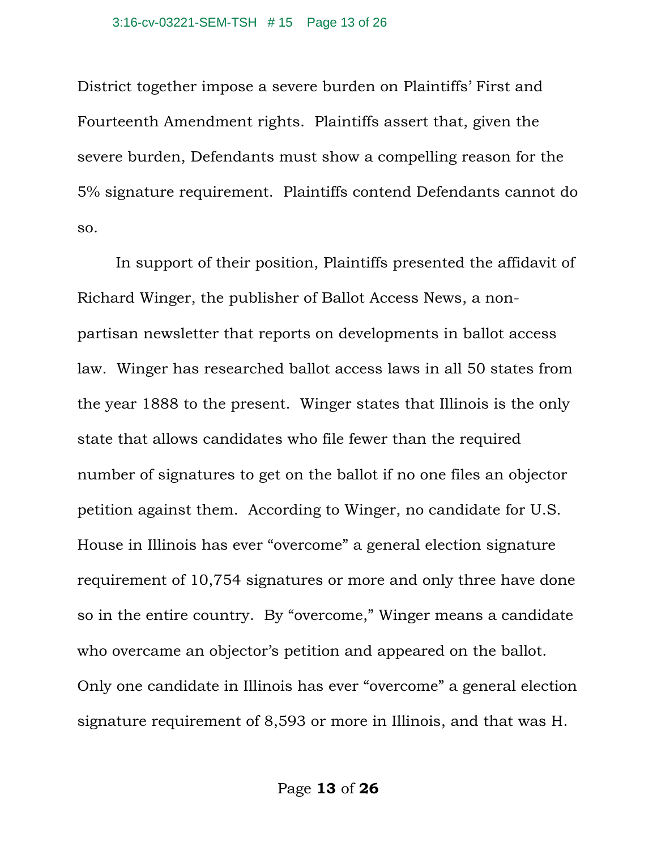District together impose a severe burden on Plaintiffs' First and Fourteenth Amendment rights. Plaintiffs assert that, given the severe burden, Defendants must show a compelling reason for the 5% signature requirement. Plaintiffs contend Defendants cannot do so.

 In support of their position, Plaintiffs presented the affidavit of Richard Winger, the publisher of Ballot Access News, a nonpartisan newsletter that reports on developments in ballot access law. Winger has researched ballot access laws in all 50 states from the year 1888 to the present. Winger states that Illinois is the only state that allows candidates who file fewer than the required number of signatures to get on the ballot if no one files an objector petition against them. According to Winger, no candidate for U.S. House in Illinois has ever "overcome" a general election signature requirement of 10,754 signatures or more and only three have done so in the entire country. By "overcome," Winger means a candidate who overcame an objector's petition and appeared on the ballot. Only one candidate in Illinois has ever "overcome" a general election signature requirement of 8,593 or more in Illinois, and that was H.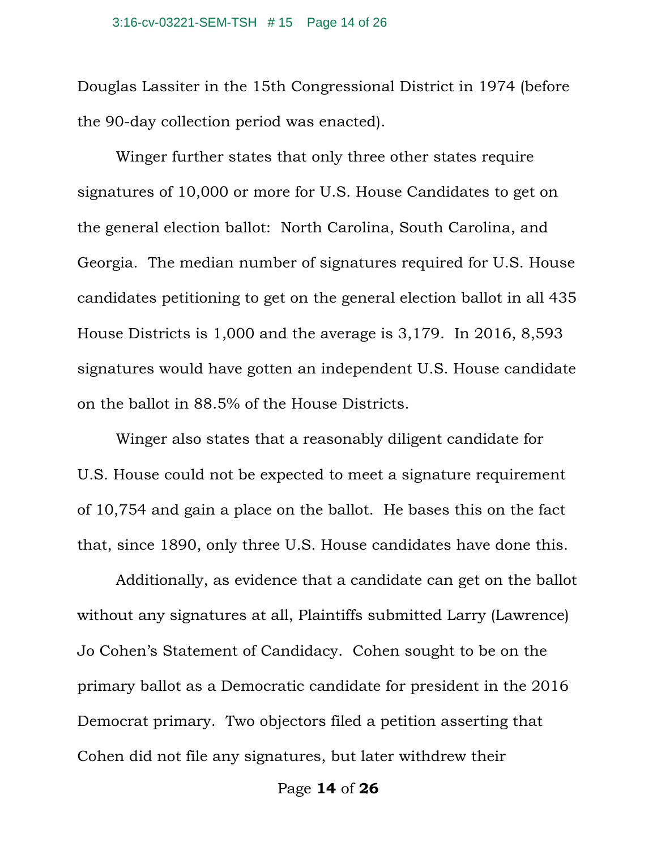Douglas Lassiter in the 15th Congressional District in 1974 (before the 90-day collection period was enacted).

 Winger further states that only three other states require signatures of 10,000 or more for U.S. House Candidates to get on the general election ballot: North Carolina, South Carolina, and Georgia. The median number of signatures required for U.S. House candidates petitioning to get on the general election ballot in all 435 House Districts is 1,000 and the average is 3,179. In 2016, 8,593 signatures would have gotten an independent U.S. House candidate on the ballot in 88.5% of the House Districts.

 Winger also states that a reasonably diligent candidate for U.S. House could not be expected to meet a signature requirement of 10,754 and gain a place on the ballot. He bases this on the fact that, since 1890, only three U.S. House candidates have done this.

 Additionally, as evidence that a candidate can get on the ballot without any signatures at all, Plaintiffs submitted Larry (Lawrence) Jo Cohen's Statement of Candidacy. Cohen sought to be on the primary ballot as a Democratic candidate for president in the 2016 Democrat primary. Two objectors filed a petition asserting that Cohen did not file any signatures, but later withdrew their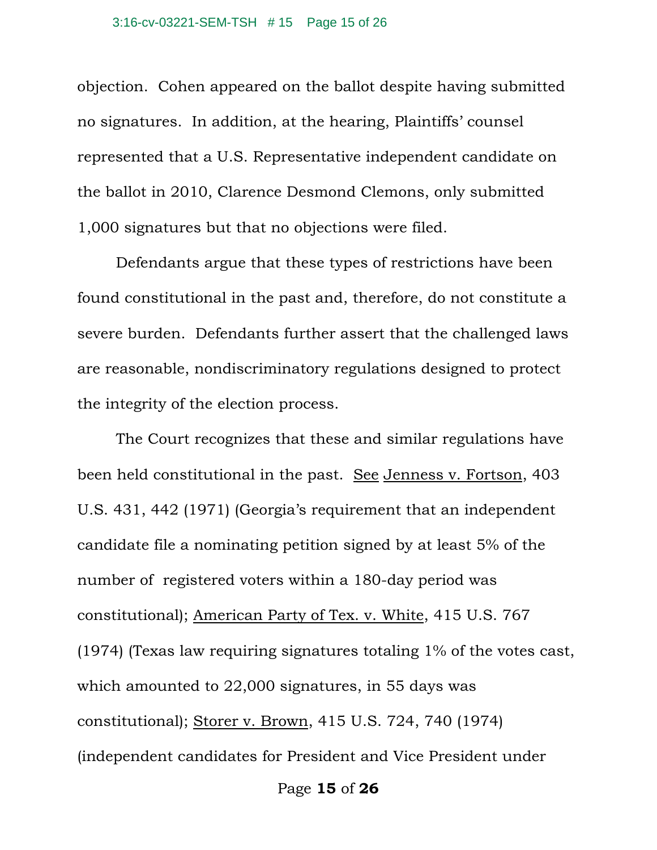objection. Cohen appeared on the ballot despite having submitted no signatures. In addition, at the hearing, Plaintiffs' counsel represented that a U.S. Representative independent candidate on the ballot in 2010, Clarence Desmond Clemons, only submitted 1,000 signatures but that no objections were filed.

 Defendants argue that these types of restrictions have been found constitutional in the past and, therefore, do not constitute a severe burden. Defendants further assert that the challenged laws are reasonable, nondiscriminatory regulations designed to protect the integrity of the election process.

 The Court recognizes that these and similar regulations have been held constitutional in the past. See Jenness v. Fortson, 403 U.S. 431, 442 (1971) (Georgia's requirement that an independent candidate file a nominating petition signed by at least 5% of the number of registered voters within a 180-day period was constitutional); American Party of Tex. v. White, 415 U.S. 767 (1974) (Texas law requiring signatures totaling 1% of the votes cast, which amounted to 22,000 signatures, in 55 days was constitutional); Storer v. Brown, 415 U.S. 724, 740 (1974) (independent candidates for President and Vice President under

Page **15** of **26**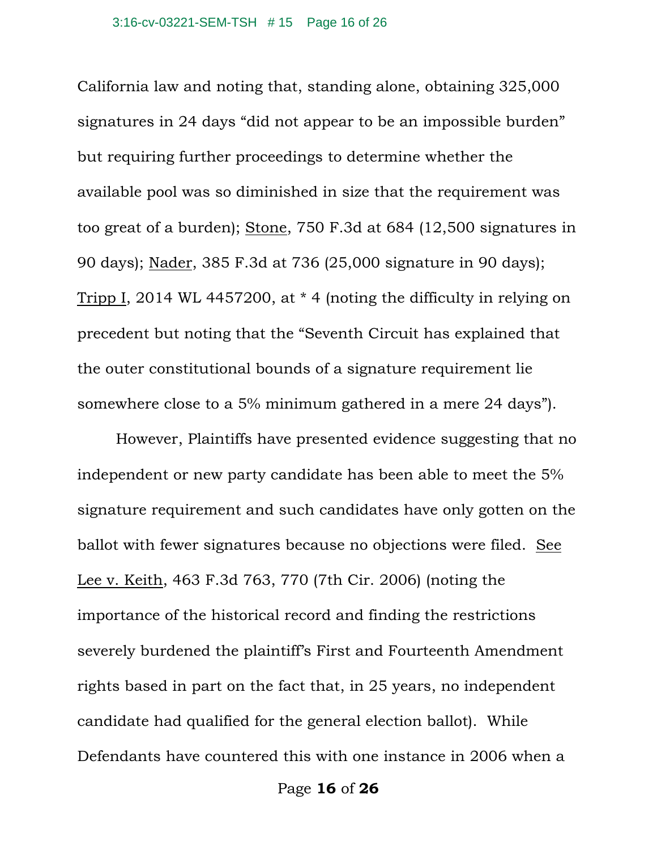California law and noting that, standing alone, obtaining 325,000 signatures in 24 days "did not appear to be an impossible burden" but requiring further proceedings to determine whether the available pool was so diminished in size that the requirement was too great of a burden); Stone, 750 F.3d at 684 (12,500 signatures in 90 days); Nader, 385 F.3d at 736 (25,000 signature in 90 days); Tripp I, 2014 WL 4457200, at \* 4 (noting the difficulty in relying on precedent but noting that the "Seventh Circuit has explained that the outer constitutional bounds of a signature requirement lie somewhere close to a 5% minimum gathered in a mere 24 days").

 However, Plaintiffs have presented evidence suggesting that no independent or new party candidate has been able to meet the 5% signature requirement and such candidates have only gotten on the ballot with fewer signatures because no objections were filed. See Lee v. Keith, 463 F.3d 763, 770 (7th Cir. 2006) (noting the importance of the historical record and finding the restrictions severely burdened the plaintiff's First and Fourteenth Amendment rights based in part on the fact that, in 25 years, no independent candidate had qualified for the general election ballot). While Defendants have countered this with one instance in 2006 when a

Page **16** of **26**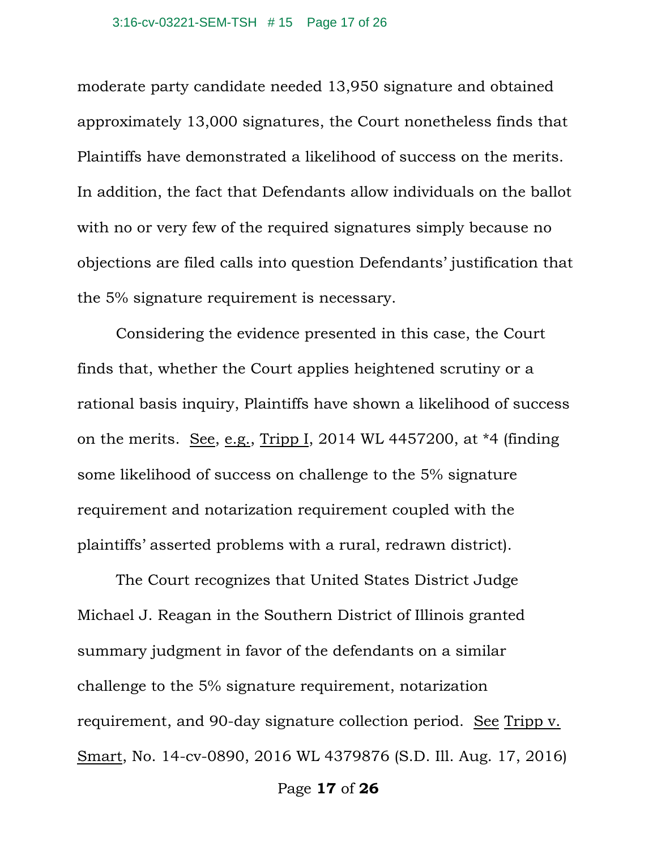moderate party candidate needed 13,950 signature and obtained approximately 13,000 signatures, the Court nonetheless finds that Plaintiffs have demonstrated a likelihood of success on the merits. In addition, the fact that Defendants allow individuals on the ballot with no or very few of the required signatures simply because no objections are filed calls into question Defendants' justification that the 5% signature requirement is necessary.

 Considering the evidence presented in this case, the Court finds that, whether the Court applies heightened scrutiny or a rational basis inquiry, Plaintiffs have shown a likelihood of success on the merits. See, e.g., Tripp I, 2014 WL 4457200, at \*4 (finding some likelihood of success on challenge to the 5% signature requirement and notarization requirement coupled with the plaintiffs' asserted problems with a rural, redrawn district).

 The Court recognizes that United States District Judge Michael J. Reagan in the Southern District of Illinois granted summary judgment in favor of the defendants on a similar challenge to the 5% signature requirement, notarization requirement, and 90-day signature collection period. See Tripp v. Smart, No. 14-cv-0890, 2016 WL 4379876 (S.D. Ill. Aug. 17, 2016)

Page **17** of **26**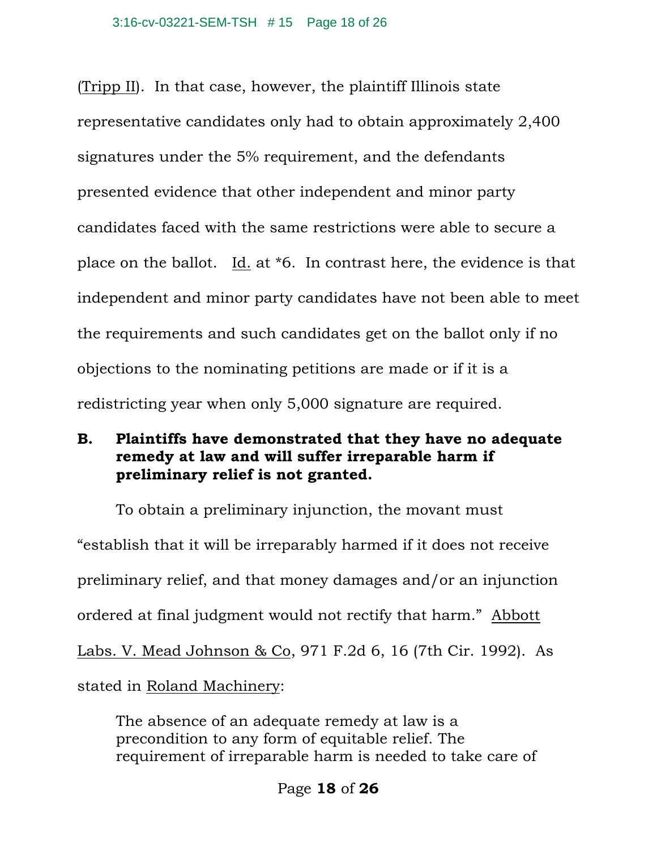(Tripp II). In that case, however, the plaintiff Illinois state representative candidates only had to obtain approximately 2,400 signatures under the 5% requirement, and the defendants presented evidence that other independent and minor party candidates faced with the same restrictions were able to secure a place on the ballot. Id. at \*6. In contrast here, the evidence is that independent and minor party candidates have not been able to meet the requirements and such candidates get on the ballot only if no objections to the nominating petitions are made or if it is a redistricting year when only 5,000 signature are required.

# **B. Plaintiffs have demonstrated that they have no adequate remedy at law and will suffer irreparable harm if preliminary relief is not granted.**

 To obtain a preliminary injunction, the movant must "establish that it will be irreparably harmed if it does not receive preliminary relief, and that money damages and/or an injunction ordered at final judgment would not rectify that harm." Abbott Labs. V. Mead Johnson & Co, 971 F.2d 6, 16 (7th Cir. 1992). As stated in Roland Machinery:

The absence of an adequate remedy at law is a precondition to any form of equitable relief. The requirement of irreparable harm is needed to take care of

Page **18** of **26**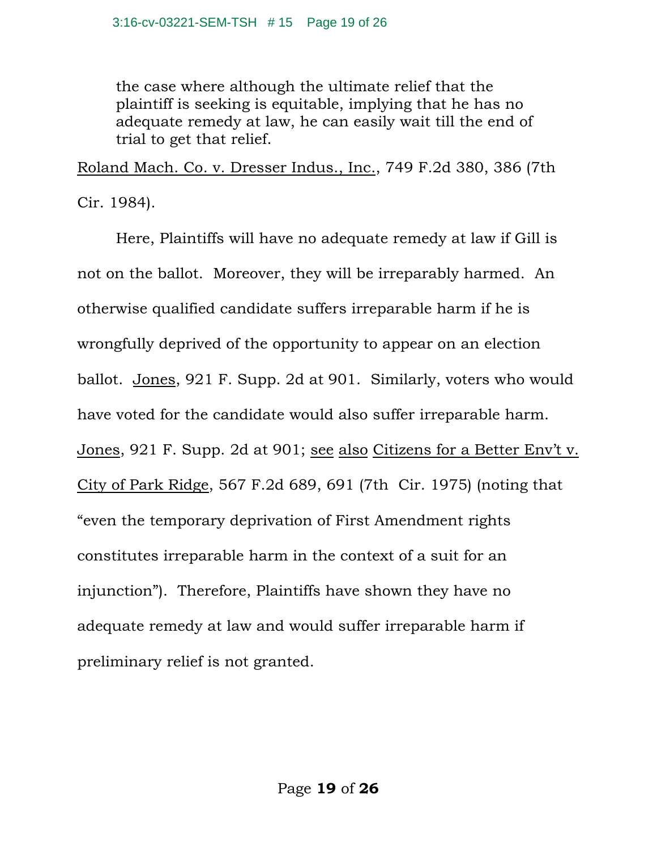the case where although the ultimate relief that the plaintiff is seeking is equitable, implying that he has no adequate remedy at law, he can easily wait till the end of trial to get that relief.

Roland Mach. Co. v. Dresser Indus., Inc., 749 F.2d 380, 386 (7th Cir. 1984).

 Here, Plaintiffs will have no adequate remedy at law if Gill is not on the ballot. Moreover, they will be irreparably harmed. An otherwise qualified candidate suffers irreparable harm if he is wrongfully deprived of the opportunity to appear on an election ballot. Jones, 921 F. Supp. 2d at 901. Similarly, voters who would have voted for the candidate would also suffer irreparable harm. Jones, 921 F. Supp. 2d at 901; see also Citizens for a Better Env't v. City of Park Ridge, 567 F.2d 689, 691 (7th Cir. 1975) (noting that "even the temporary deprivation of First Amendment rights constitutes irreparable harm in the context of a suit for an injunction"). Therefore, Plaintiffs have shown they have no adequate remedy at law and would suffer irreparable harm if preliminary relief is not granted.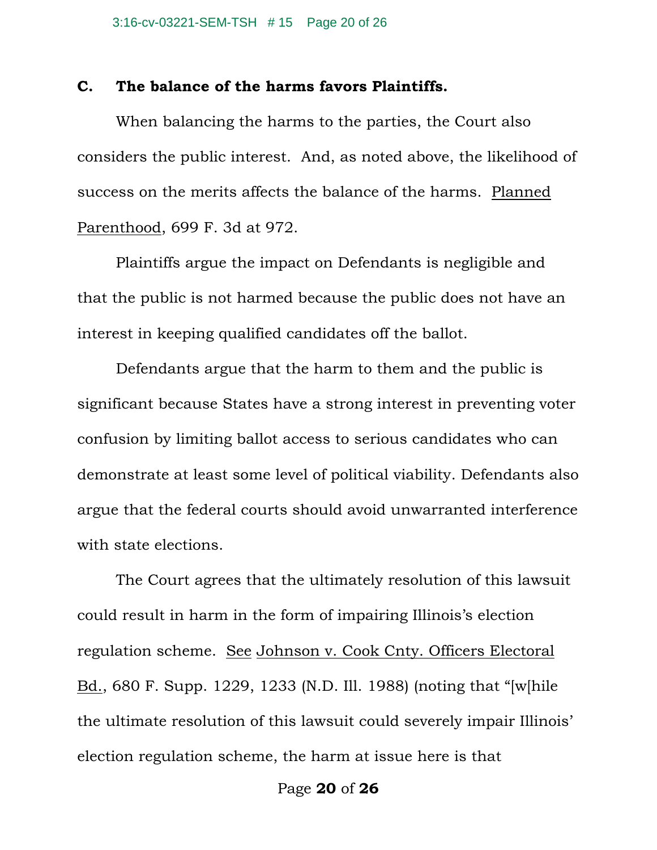#### **C. The balance of the harms favors Plaintiffs.**

 When balancing the harms to the parties, the Court also considers the public interest. And, as noted above, the likelihood of success on the merits affects the balance of the harms. Planned Parenthood, 699 F. 3d at 972.

 Plaintiffs argue the impact on Defendants is negligible and that the public is not harmed because the public does not have an interest in keeping qualified candidates off the ballot.

 Defendants argue that the harm to them and the public is significant because States have a strong interest in preventing voter confusion by limiting ballot access to serious candidates who can demonstrate at least some level of political viability. Defendants also argue that the federal courts should avoid unwarranted interference with state elections.

 The Court agrees that the ultimately resolution of this lawsuit could result in harm in the form of impairing Illinois's election regulation scheme. See Johnson v. Cook Cnty. Officers Electoral Bd., 680 F. Supp. 1229, 1233 (N.D. Ill. 1988) (noting that "[w[hile the ultimate resolution of this lawsuit could severely impair Illinois' election regulation scheme, the harm at issue here is that

Page **20** of **26**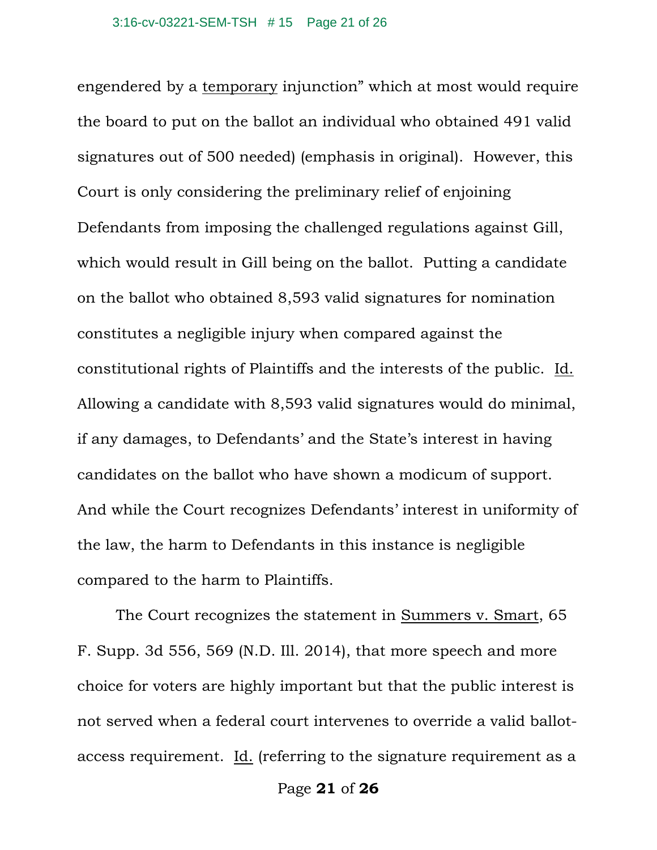engendered by a temporary injunction" which at most would require the board to put on the ballot an individual who obtained 491 valid signatures out of 500 needed) (emphasis in original). However, this Court is only considering the preliminary relief of enjoining Defendants from imposing the challenged regulations against Gill, which would result in Gill being on the ballot. Putting a candidate on the ballot who obtained 8,593 valid signatures for nomination constitutes a negligible injury when compared against the constitutional rights of Plaintiffs and the interests of the public. Id. Allowing a candidate with 8,593 valid signatures would do minimal, if any damages, to Defendants' and the State's interest in having candidates on the ballot who have shown a modicum of support. And while the Court recognizes Defendants' interest in uniformity of the law, the harm to Defendants in this instance is negligible compared to the harm to Plaintiffs.

The Court recognizes the statement in Summers v. Smart, 65 F. Supp. 3d 556, 569 (N.D. Ill. 2014), that more speech and more choice for voters are highly important but that the public interest is not served when a federal court intervenes to override a valid ballotaccess requirement. Id. (referring to the signature requirement as a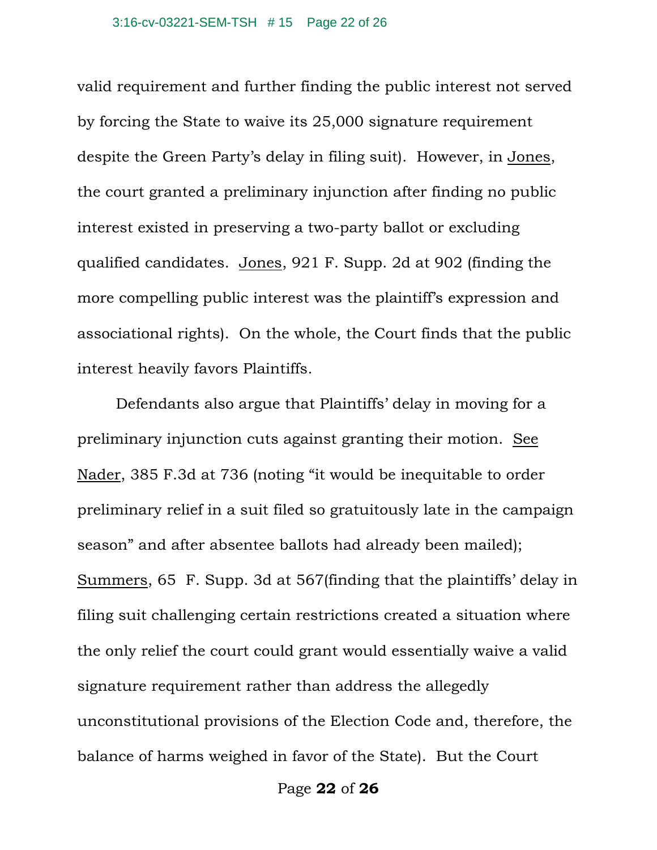valid requirement and further finding the public interest not served by forcing the State to waive its 25,000 signature requirement despite the Green Party's delay in filing suit). However, in Jones, the court granted a preliminary injunction after finding no public interest existed in preserving a two-party ballot or excluding qualified candidates. Jones, 921 F. Supp. 2d at 902 (finding the more compelling public interest was the plaintiff's expression and associational rights). On the whole, the Court finds that the public interest heavily favors Plaintiffs.

 Defendants also argue that Plaintiffs' delay in moving for a preliminary injunction cuts against granting their motion. See Nader, 385 F.3d at 736 (noting "it would be inequitable to order preliminary relief in a suit filed so gratuitously late in the campaign season" and after absentee ballots had already been mailed); Summers, 65 F. Supp. 3d at 567(finding that the plaintiffs' delay in filing suit challenging certain restrictions created a situation where the only relief the court could grant would essentially waive a valid signature requirement rather than address the allegedly unconstitutional provisions of the Election Code and, therefore, the balance of harms weighed in favor of the State). But the Court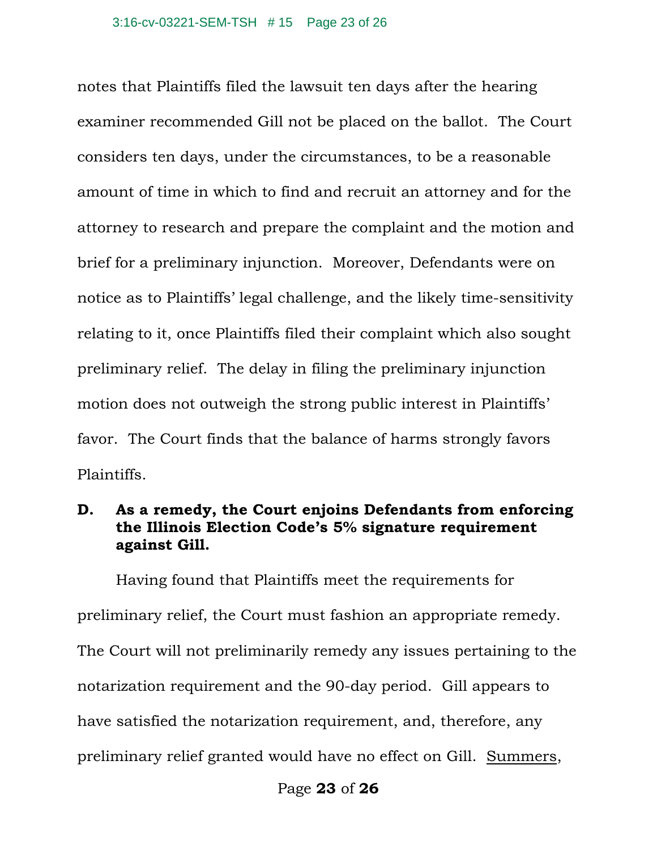notes that Plaintiffs filed the lawsuit ten days after the hearing examiner recommended Gill not be placed on the ballot. The Court considers ten days, under the circumstances, to be a reasonable amount of time in which to find and recruit an attorney and for the attorney to research and prepare the complaint and the motion and brief for a preliminary injunction. Moreover, Defendants were on notice as to Plaintiffs' legal challenge, and the likely time-sensitivity relating to it, once Plaintiffs filed their complaint which also sought preliminary relief. The delay in filing the preliminary injunction motion does not outweigh the strong public interest in Plaintiffs' favor. The Court finds that the balance of harms strongly favors Plaintiffs.

# **D. As a remedy, the Court enjoins Defendants from enforcing the Illinois Election Code's 5% signature requirement against Gill.**

 Having found that Plaintiffs meet the requirements for preliminary relief, the Court must fashion an appropriate remedy. The Court will not preliminarily remedy any issues pertaining to the notarization requirement and the 90-day period. Gill appears to have satisfied the notarization requirement, and, therefore, any preliminary relief granted would have no effect on Gill. Summers,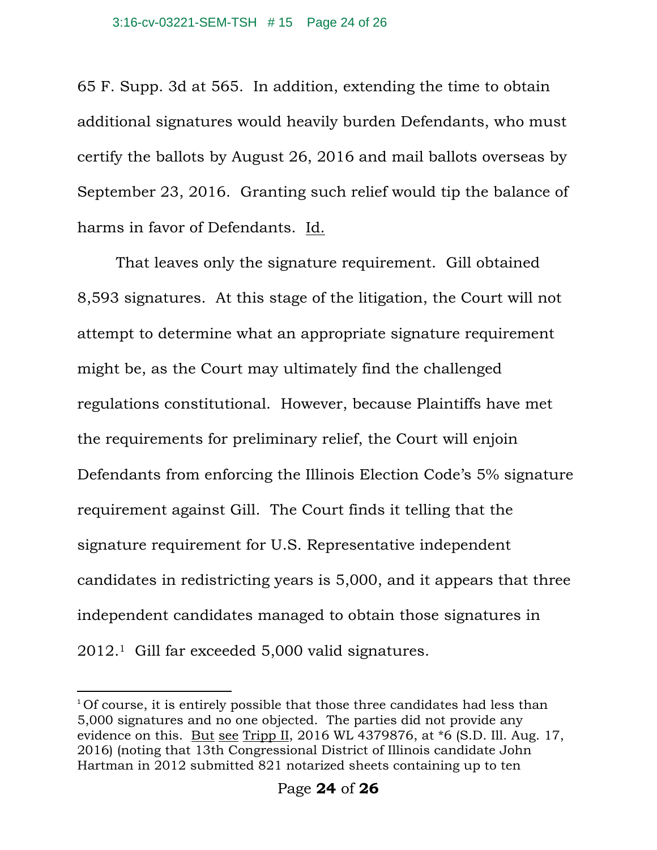65 F. Supp. 3d at 565. In addition, extending the time to obtain additional signatures would heavily burden Defendants, who must certify the ballots by August 26, 2016 and mail ballots overseas by September 23, 2016. Granting such relief would tip the balance of harms in favor of Defendants. Id.

 That leaves only the signature requirement. Gill obtained 8,593 signatures. At this stage of the litigation, the Court will not attempt to determine what an appropriate signature requirement might be, as the Court may ultimately find the challenged regulations constitutional. However, because Plaintiffs have met the requirements for preliminary relief, the Court will enjoin Defendants from enforcing the Illinois Election Code's 5% signature requirement against Gill. The Court finds it telling that the signature requirement for U.S. Representative independent candidates in redistricting years is 5,000, and it appears that three independent candidates managed to obtain those signatures in 2012.1 Gill far exceeded 5,000 valid signatures.

 $10$  Course, it is entirely possible that those three candidates had less than 5,000 signatures and no one objected. The parties did not provide any evidence on this. But see Tripp II, 2016 WL 4379876, at \*6 (S.D. Ill. Aug. 17, 2016) (noting that 13th Congressional District of Illinois candidate John Hartman in 2012 submitted 821 notarized sheets containing up to ten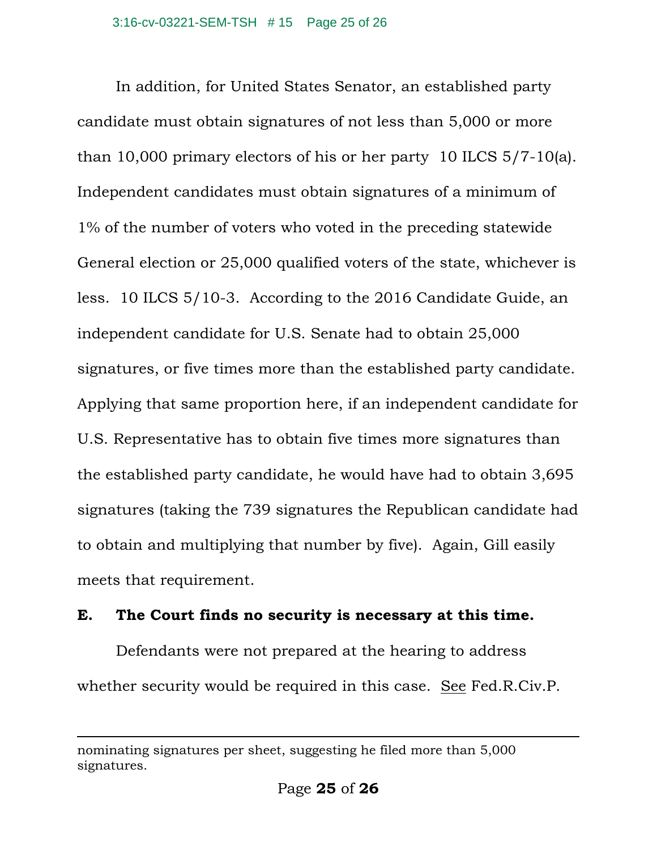In addition, for United States Senator, an established party candidate must obtain signatures of not less than 5,000 or more than 10,000 primary electors of his or her party 10 ILCS 5/7-10(a). Independent candidates must obtain signatures of a minimum of 1% of the number of voters who voted in the preceding statewide General election or 25,000 qualified voters of the state, whichever is less. 10 ILCS 5/10-3. According to the 2016 Candidate Guide, an independent candidate for U.S. Senate had to obtain 25,000 signatures, or five times more than the established party candidate. Applying that same proportion here, if an independent candidate for U.S. Representative has to obtain five times more signatures than the established party candidate, he would have had to obtain 3,695 signatures (taking the 739 signatures the Republican candidate had to obtain and multiplying that number by five). Again, Gill easily meets that requirement.

# **E. The Court finds no security is necessary at this time.**

 Defendants were not prepared at the hearing to address whether security would be required in this case. See Fed.R.Civ.P.

<sup>&</sup>lt;u> 1989 - Johann Stein, marwolaethau a gweledydd a ganlad y ganlad y ganlad y ganlad y ganlad y ganlad y ganlad</u> nominating signatures per sheet, suggesting he filed more than 5,000 signatures.